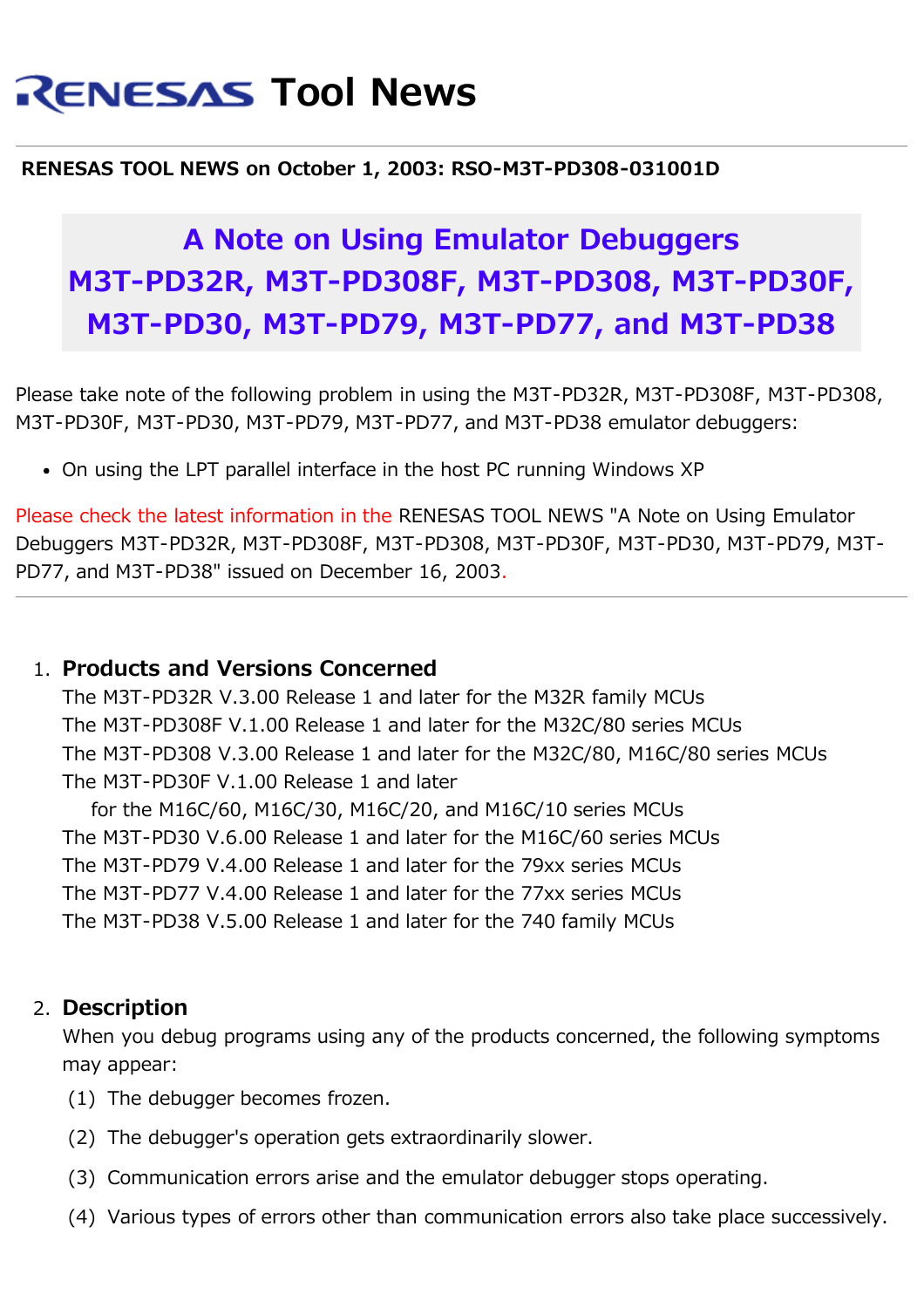# **RENESAS Tool News**

#### **RENESAS TOOL NEWS on October 1, 2003: RSO-M3T-PD308-031001D**

## **A Note on Using Emulator Debuggers M3T-PD32R, M3T-PD308F, M3T-PD308, M3T-PD30F, M3T-PD30, M3T-PD79, M3T-PD77, and M3T-PD38**

Please take note of the following problem in using the M3T-PD32R, M3T-PD308F, M3T-PD308, M3T-PD30F, M3T-PD30, M3T-PD79, M3T-PD77, and M3T-PD38 emulator debuggers:

On using the LPT parallel interface in the host PC running Windows XP

Please check the latest information in the RENESAS TOOL NEWS "A Note on Using Emulator Debuggers M3T-PD32R, M3T-PD308F, M3T-PD308, M3T-PD30F, M3T-PD30, M3T-PD79, M3T-PD77, and M3T-PD38" issued on December 16, 2003.

### 1. **Products and Versions Concerned**

The M3T-PD32R V.3.00 Release 1 and later for the M32R family MCUs The M3T-PD308F V.1.00 Release 1 and later for the M32C/80 series MCUs The M3T-PD308 V.3.00 Release 1 and later for the M32C/80, M16C/80 series MCUs The M3T-PD30F V.1.00 Release 1 and later

 for the M16C/60, M16C/30, M16C/20, and M16C/10 series MCUs The M3T-PD30 V.6.00 Release 1 and later for the M16C/60 series MCUs The M3T-PD79 V.4.00 Release 1 and later for the 79xx series MCUs The M3T-PD77 V.4.00 Release 1 and later for the 77xx series MCUs The M3T-PD38 V.5.00 Release 1 and later for the 740 family MCUs

### 2. **Description**

When you debug programs using any of the products concerned, the following symptoms may appear:

- (1) The debugger becomes frozen.
- (2) The debugger's operation gets extraordinarily slower.
- (3) Communication errors arise and the emulator debugger stops operating.
- (4) Various types of errors other than communication errors also take place successively.